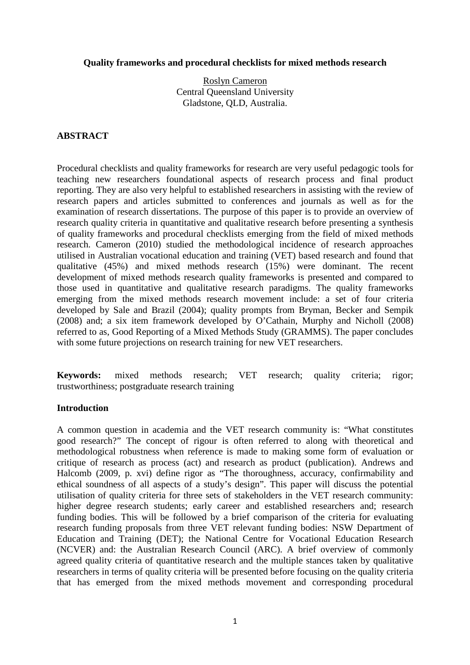#### **Quality frameworks and procedural checklists for mixed methods research**

Roslyn Cameron Central Queensland University Gladstone, QLD, Australia.

## **ABSTRACT**

Procedural checklists and quality frameworks for research are very useful pedagogic tools for teaching new researchers foundational aspects of research process and final product reporting. They are also very helpful to established researchers in assisting with the review of research papers and articles submitted to conferences and journals as well as for the examination of research dissertations. The purpose of this paper is to provide an overview of research quality criteria in quantitative and qualitative research before presenting a synthesis of quality frameworks and procedural checklists emerging from the field of mixed methods research. Cameron (2010) studied the methodological incidence of research approaches utilised in Australian vocational education and training (VET) based research and found that qualitative (45%) and mixed methods research (15%) were dominant. The recent development of mixed methods research quality frameworks is presented and compared to those used in quantitative and qualitative research paradigms. The quality frameworks emerging from the mixed methods research movement include: a set of four criteria developed by Sale and Brazil (2004); quality prompts from Bryman, Becker and Sempik (2008) and; a six item framework developed by O'Cathain, Murphy and Nicholl (2008) referred to as, Good Reporting of a Mixed Methods Study (GRAMMS). The paper concludes with some future projections on research training for new VET researchers.

**Keywords:** mixed methods research; VET research; quality criteria; rigor; trustworthiness; postgraduate research training

#### **Introduction**

A common question in academia and the VET research community is: "What constitutes good research?" The concept of rigour is often referred to along with theoretical and methodological robustness when reference is made to making some form of evaluation or critique of research as process (act) and research as product (publication). Andrews and Halcomb (2009, p. xvi) define rigor as "The thoroughness, accuracy, confirmability and ethical soundness of all aspects of a study's design". This paper will discuss the potential utilisation of quality criteria for three sets of stakeholders in the VET research community: higher degree research students; early career and established researchers and; research funding bodies. This will be followed by a brief comparison of the criteria for evaluating research funding proposals from three VET relevant funding bodies: NSW Department of Education and Training (DET); the National Centre for Vocational Education Research (NCVER) and: the Australian Research Council (ARC). A brief overview of commonly agreed quality criteria of quantitative research and the multiple stances taken by qualitative researchers in terms of quality criteria will be presented before focusing on the quality criteria that has emerged from the mixed methods movement and corresponding procedural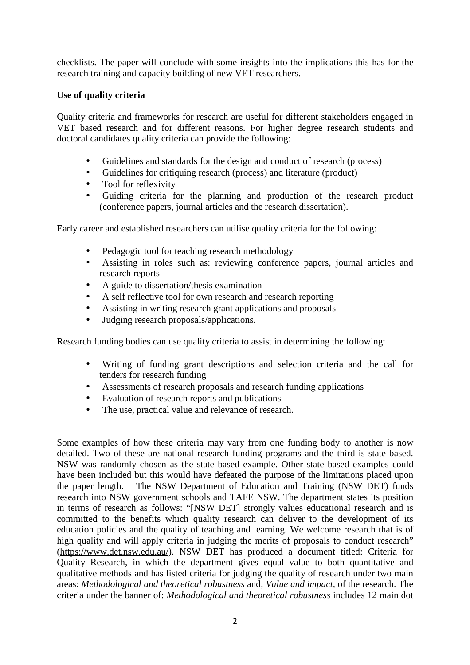checklists. The paper will conclude with some insights into the implications this has for the research training and capacity building of new VET researchers.

## **Use of quality criteria**

Quality criteria and frameworks for research are useful for different stakeholders engaged in VET based research and for different reasons. For higher degree research students and doctoral candidates quality criteria can provide the following:

- Guidelines and standards for the design and conduct of research (process)
- Guidelines for critiquing research (process) and literature (product)
- Tool for reflexivity
- Guiding criteria for the planning and production of the research product (conference papers, journal articles and the research dissertation).

Early career and established researchers can utilise quality criteria for the following:

- Pedagogic tool for teaching research methodology
- Assisting in roles such as: reviewing conference papers, journal articles and research reports
- A guide to dissertation/thesis examination
- A self reflective tool for own research and research reporting
- Assisting in writing research grant applications and proposals
- Judging research proposals/applications.

Research funding bodies can use quality criteria to assist in determining the following:

- Writing of funding grant descriptions and selection criteria and the call for tenders for research funding
- Assessments of research proposals and research funding applications
- Evaluation of research reports and publications
- The use, practical value and relevance of research.

Some examples of how these criteria may vary from one funding body to another is now detailed. Two of these are national research funding programs and the third is state based. NSW was randomly chosen as the state based example. Other state based examples could have been included but this would have defeated the purpose of the limitations placed upon the paper length. The NSW Department of Education and Training (NSW DET) funds research into NSW government schools and TAFE NSW. The department states its position in terms of research as follows: "[NSW DET] strongly values educational research and is committed to the benefits which quality research can deliver to the development of its education policies and the quality of teaching and learning. We welcome research that is of high quality and will apply criteria in judging the merits of proposals to conduct research" (https://www.det.nsw.edu.au/). NSW DET has produced a document titled: Criteria for Quality Research, in which the department gives equal value to both quantitative and qualitative methods and has listed criteria for judging the quality of research under two main areas: *Methodological and theoretical robustness* and; *Value and impact,* of the research. The criteria under the banner of: *Methodological and theoretical robustness* includes 12 main dot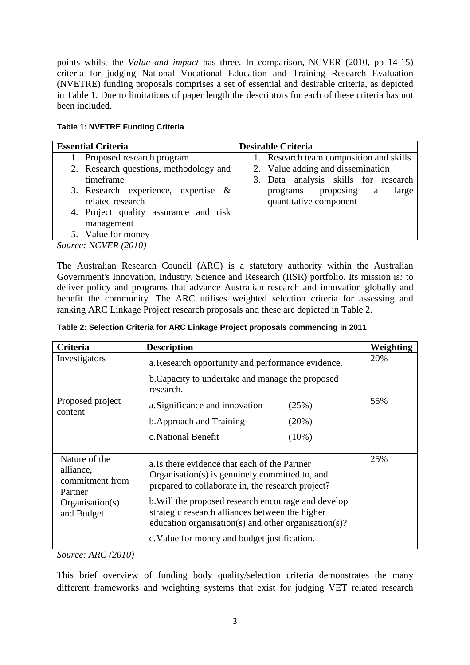points whilst the *Value and impact* has three. In comparison, NCVER (2010, pp 14-15) criteria for judging National Vocational Education and Training Research Evaluation (NVETRE) funding proposals comprises a set of essential and desirable criteria, as depicted in Table 1. Due to limitations of paper length the descriptors for each of these criteria has not been included.

|  | <b>Table 1: NVETRE Funding Criteria</b> |  |  |
|--|-----------------------------------------|--|--|
|--|-----------------------------------------|--|--|

| <b>Essential Criteria</b>              | <b>Desirable Criteria</b>               |
|----------------------------------------|-----------------------------------------|
| 1. Proposed research program           | 1. Research team composition and skills |
| 2. Research questions, methodology and | 2. Value adding and dissemination       |
| timeframe                              | 3. Data analysis skills for research    |
| 3. Research experience, expertise $\&$ | large<br>proposing<br>programs<br>a     |
| related research                       | quantitative component                  |
| 4. Project quality assurance and risk  |                                         |
| management                             |                                         |
| 5. Value for money                     |                                         |
| Source: NCVER (2010)                   |                                         |

The Australian Research Council (ARC) is a statutory authority within the Australian Government's Innovation, Industry, Science and Research (IISR) portfolio. Its mission is*:* to deliver policy and programs that advance Australian research and innovation globally and benefit the community*.* The ARC utilises weighted selection criteria for assessing and ranking ARC Linkage Project research proposals and these are depicted in Table 2.

| Criteria                                                                                  | <b>Description</b>                                                                                                                                                                                                                                                                                                                                                     | Weighting |
|-------------------------------------------------------------------------------------------|------------------------------------------------------------------------------------------------------------------------------------------------------------------------------------------------------------------------------------------------------------------------------------------------------------------------------------------------------------------------|-----------|
| Investigators                                                                             | a. Research opportunity and performance evidence.                                                                                                                                                                                                                                                                                                                      | 20%       |
|                                                                                           | b. Capacity to undertake and manage the proposed<br>research.                                                                                                                                                                                                                                                                                                          |           |
| Proposed project<br>content                                                               | a. Significance and innovation<br>(25%)                                                                                                                                                                                                                                                                                                                                | 55%       |
|                                                                                           | b. Approach and Training<br>(20%)                                                                                                                                                                                                                                                                                                                                      |           |
|                                                                                           | c. National Benefit<br>$(10\%)$                                                                                                                                                                                                                                                                                                                                        |           |
| Nature of the<br>alliance,<br>commitment from<br>Partner<br>Organisation(s)<br>and Budget | a. Is there evidence that each of the Partner<br>Organisation(s) is genuinely committed to, and<br>prepared to collaborate in, the research project?<br>b. Will the proposed research encourage and develop<br>strategic research alliances between the higher<br>education organisation(s) and other organisation(s)?<br>c. Value for money and budget justification. | 25%       |

**Table 2: Selection Criteria for ARC Linkage Project proposals commencing in 2011** 

*Source: ARC (2010)* 

This brief overview of funding body quality/selection criteria demonstrates the many different frameworks and weighting systems that exist for judging VET related research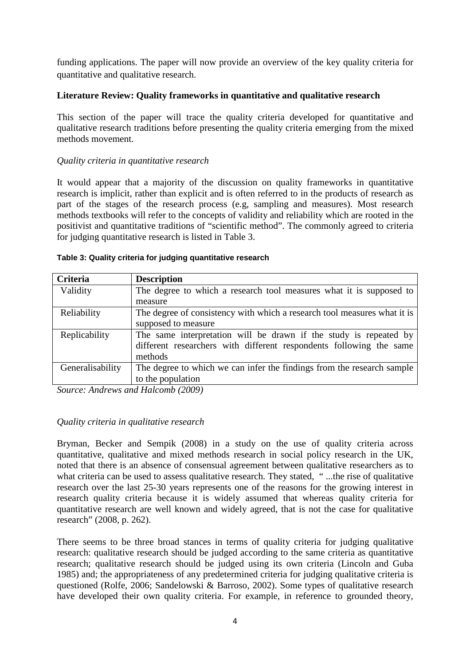funding applications. The paper will now provide an overview of the key quality criteria for quantitative and qualitative research.

## **Literature Review: Quality frameworks in quantitative and qualitative research**

This section of the paper will trace the quality criteria developed for quantitative and qualitative research traditions before presenting the quality criteria emerging from the mixed methods movement.

## *Quality criteria in quantitative research*

It would appear that a majority of the discussion on quality frameworks in quantitative research is implicit, rather than explicit and is often referred to in the products of research as part of the stages of the research process (e.g, sampling and measures). Most research methods textbooks will refer to the concepts of validity and reliability which are rooted in the positivist and quantitative traditions of "scientific method". The commonly agreed to criteria for judging quantitative research is listed in Table 3.

|  | Table 3: Quality criteria for judging quantitative research |  |  |  |
|--|-------------------------------------------------------------|--|--|--|
|--|-------------------------------------------------------------|--|--|--|

| Criteria         | <b>Description</b>                                                       |
|------------------|--------------------------------------------------------------------------|
| Validity         | The degree to which a research tool measures what it is supposed to      |
|                  | measure                                                                  |
| Reliability      | The degree of consistency with which a research tool measures what it is |
|                  | supposed to measure                                                      |
| Replicability    | The same interpretation will be drawn if the study is repeated by        |
|                  | different researchers with different respondents following the same      |
|                  | methods                                                                  |
| Generalisability | The degree to which we can infer the findings from the research sample   |
|                  | to the population                                                        |

*Source: Andrews and Halcomb (2009)* 

#### *Quality criteria in qualitative research*

Bryman, Becker and Sempik (2008) in a study on the use of quality criteria across quantitative, qualitative and mixed methods research in social policy research in the UK, noted that there is an absence of consensual agreement between qualitative researchers as to what criteria can be used to assess qualitative research. They stated, "...the rise of qualitative research over the last 25-30 years represents one of the reasons for the growing interest in research quality criteria because it is widely assumed that whereas quality criteria for quantitative research are well known and widely agreed, that is not the case for qualitative research" (2008, p. 262).

There seems to be three broad stances in terms of quality criteria for judging qualitative research: qualitative research should be judged according to the same criteria as quantitative research; qualitative research should be judged using its own criteria (Lincoln and Guba 1985) and; the appropriateness of any predetermined criteria for judging qualitative criteria is questioned (Rolfe, 2006; Sandelowski & Barroso, 2002). Some types of qualitative research have developed their own quality criteria. For example, in reference to grounded theory,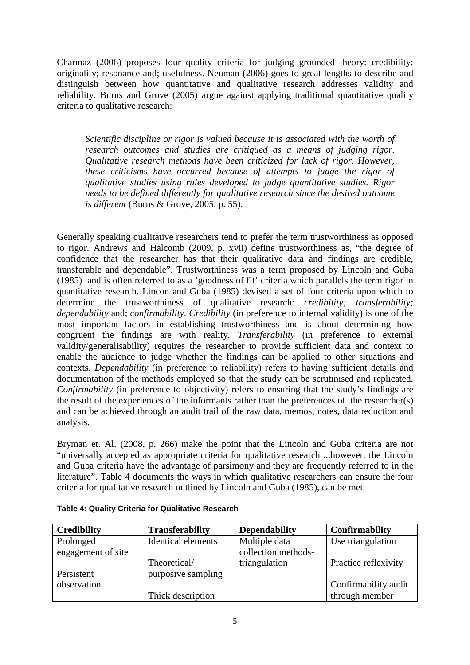Charmaz (2006) proposes four quality criteria for judging grounded theory: credibility; originality; resonance and; usefulness. Neuman (2006) goes to great lengths to describe and distinguish between how quantitative and qualitative research addresses validity and reliability. Burns and Grove (2005) argue against applying traditional quantitative quality criteria to qualitative research:

*Scientific discipline or rigor is valued because it is associated with the worth of research outcomes and studies are critiqued as a means of judging rigor. Qualitative research methods have been criticized for lack of rigor. However, these criticisms have occurred because of attempts to judge the rigor of qualitative studies using rules developed to judge quantitative studies. Rigor needs to be defined differently for qualitative research since the desired outcome is different* (Burns & Grove, 2005, p. 55).

Generally speaking qualitative researchers tend to prefer the term trustworthiness as opposed to rigor. Andrews and Halcomb (2009, p. xvii) define trustworthiness as, "the degree of confidence that the researcher has that their qualitative data and findings are credible, transferable and dependable". Trustworthiness was a term proposed by Lincoln and Guba (1985) and is often referred to as a 'goodness of fit' criteria which parallels the term rigor in quantitative research. Lincon and Guba (1985) devised a set of four criteria upon which to determine the trustworthiness of qualitative research: *credibility; transferability; dependability* and; *confirmability*. *Credibility* (in preference to internal validity) is one of the most important factors in establishing trustworthiness and is about determining how congruent the findings are with reality. *Transferability* (in preference to external validity/generalisability) requires the researcher to provide sufficient data and context to enable the audience to judge whether the findings can be applied to other situations and contexts. *Dependability* (in preference to reliability) refers to having sufficient details and documentation of the methods employed so that the study can be scrutinised and replicated. *Confirmability* (in preference to objectivity) refers to ensuring that the study's findings are the result of the experiences of the informants rather than the preferences of the researcher(s) and can be achieved through an audit trail of the raw data, memos, notes, data reduction and analysis.

Bryman et. Al. (2008, p. 266) make the point that the Lincoln and Guba criteria are not "universally accepted as appropriate criteria for qualitative research ...however, the Lincoln and Guba criteria have the advantage of parsimony and they are frequently referred to in the literature". Table 4 documents the ways in which qualitative researchers can ensure the four criteria for qualitative research outlined by Lincoln and Guba (1985), can be met.

| <b>Credibility</b> | <b>Transferability</b>    | <b>Dependability</b> | Confirmability       |
|--------------------|---------------------------|----------------------|----------------------|
| Prolonged          | <b>Identical elements</b> | Multiple data        | Use triangulation    |
| engagement of site |                           | collection methods-  |                      |
|                    | Theoretical/              | triangulation        | Practice reflexivity |
| Persistent         | purposive sampling        |                      |                      |
| observation        |                           |                      | Confirmability audit |
|                    | Thick description         |                      | through member       |

**Table 4: Quality Criteria for Qualitative Research**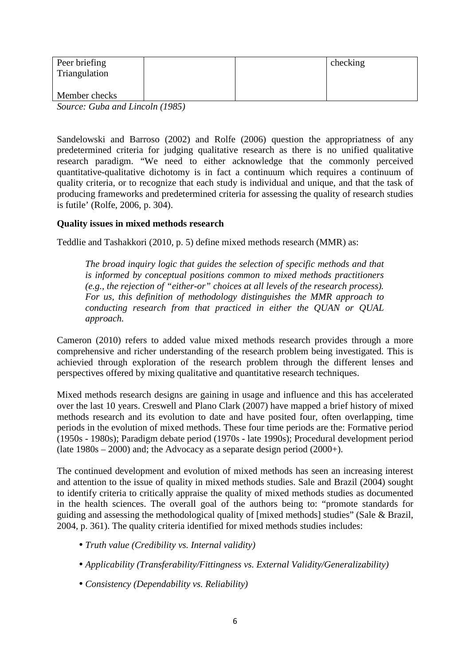| Peer briefing<br>Triangulation |  | checking |
|--------------------------------|--|----------|
| Member checks                  |  |          |

*Source: Guba and Lincoln (1985)* 

Sandelowski and Barroso (2002) and Rolfe (2006) question the appropriatness of any predetermined criteria for judging qualitative research as there is no unified qualitative research paradigm. "We need to either acknowledge that the commonly perceived quantitative-qualitative dichotomy is in fact a continuum which requires a continuum of quality criteria, or to recognize that each study is individual and unique, and that the task of producing frameworks and predetermined criteria for assessing the quality of research studies is futile' (Rolfe, 2006, p. 304).

#### **Quality issues in mixed methods research**

Teddlie and Tashakkori (2010, p. 5) define mixed methods research (MMR) as:

*The broad inquiry logic that guides the selection of specific methods and that is informed by conceptual positions common to mixed methods practitioners (e.g., the rejection of "either-or" choices at all levels of the research process). For us, this definition of methodology distinguishes the MMR approach to conducting research from that practiced in either the QUAN or QUAL approach.* 

Cameron (2010) refers to added value mixed methods research provides through a more comprehensive and richer understanding of the research problem being investigated. This is achievied through exploration of the research problem through the different lenses and perspectives offered by mixing qualitative and quantitative research techniques.

Mixed methods research designs are gaining in usage and influence and this has accelerated over the last 10 years. Creswell and Plano Clark (2007) have mapped a brief history of mixed methods research and its evolution to date and have posited four, often overlapping, time periods in the evolution of mixed methods. These four time periods are the: Formative period (1950s - 1980s); Paradigm debate period (1970s - late 1990s); Procedural development period (late  $1980s - 2000$ ) and; the Advocacy as a separate design period  $(2000+)$ .

The continued development and evolution of mixed methods has seen an increasing interest and attention to the issue of quality in mixed methods studies. Sale and Brazil (2004) sought to identify criteria to critically appraise the quality of mixed methods studies as documented in the health sciences. The overall goal of the authors being to: "promote standards for guiding and assessing the methodological quality of [mixed methods] studies" (Sale & Brazil, 2004, p. 361). The quality criteria identified for mixed methods studies includes:

- *Truth value (Credibility vs. Internal validity)*
- *Applicability (Transferability/Fittingness vs. External Validity/Generalizability)*
- *Consistency (Dependability vs. Reliability)*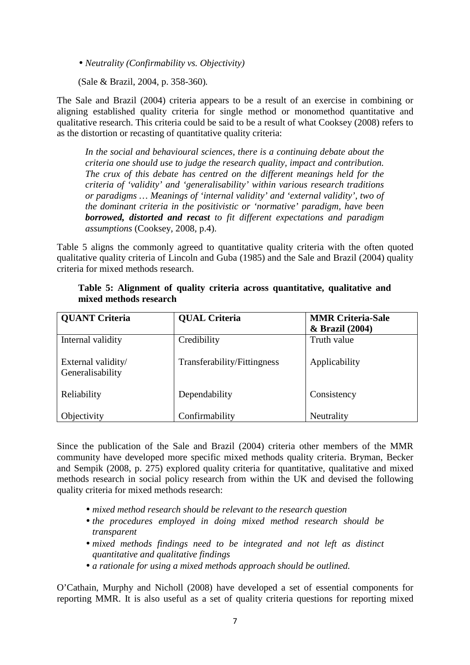• *Neutrality (Confirmability vs. Objectivity)* 

(Sale & Brazil, 2004, p. 358-360)*.* 

The Sale and Brazil (2004) criteria appears to be a result of an exercise in combining or aligning established quality criteria for single method or monomethod quantitative and qualitative research. This criteria could be said to be a result of what Cooksey (2008) refers to as the distortion or recasting of quantitative quality criteria:

*In the social and behavioural sciences, there is a continuing debate about the criteria one should use to judge the research quality, impact and contribution. The crux of this debate has centred on the different meanings held for the criteria of 'validity' and 'generalisability' within various research traditions or paradigms … Meanings of 'internal validity' and 'external validity', two of the dominant criteria in the positivistic or 'normative' paradigm, have been borrowed, distorted and recast to fit different expectations and paradigm assumptions* (Cooksey, 2008, p.4).

Table 5 aligns the commonly agreed to quantitative quality criteria with the often quoted qualitative quality criteria of Lincoln and Guba (1985) and the Sale and Brazil (2004) quality criteria for mixed methods research.

| <b>QUANT Criteria</b>                  | <b>QUAL Criteria</b>        | <b>MMR Criteria-Sale</b><br>& Brazil (2004) |
|----------------------------------------|-----------------------------|---------------------------------------------|
| Internal validity                      | Credibility                 | Truth value                                 |
| External validity/<br>Generalisability | Transferability/Fittingness | Applicability                               |
| Reliability                            | Dependability               | Consistency                                 |
| Objectivity                            | Confirmability              | Neutrality                                  |

## **Table 5: Alignment of quality criteria across quantitative, qualitative and mixed methods research**

Since the publication of the Sale and Brazil (2004) criteria other members of the MMR community have developed more specific mixed methods quality criteria. Bryman, Becker and Sempik (2008, p. 275) explored quality criteria for quantitative, qualitative and mixed methods research in social policy research from within the UK and devised the following quality criteria for mixed methods research:

- *mixed method research should be relevant to the research question*
- *the procedures employed in doing mixed method research should be transparent*
- *mixed methods findings need to be integrated and not left as distinct quantitative and qualitative findings*
- *a rationale for using a mixed methods approach should be outlined.*

O'Cathain, Murphy and Nicholl (2008) have developed a set of essential components for reporting MMR. It is also useful as a set of quality criteria questions for reporting mixed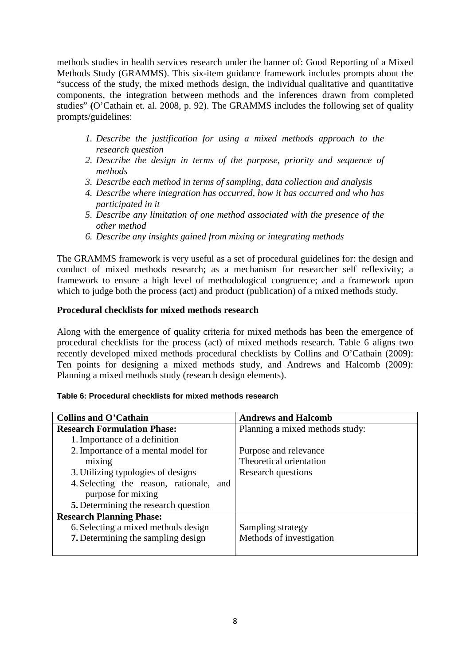methods studies in health services research under the banner of: Good Reporting of a Mixed Methods Study (GRAMMS). This six-item guidance framework includes prompts about the "success of the study, the mixed methods design, the individual qualitative and quantitative components, the integration between methods and the inferences drawn from completed studies" **(**O'Cathain et. al. 2008, p. 92). The GRAMMS includes the following set of quality prompts/guidelines:

- *1. Describe the justification for using a mixed methods approach to the research question*
- *2. Describe the design in terms of the purpose, priority and sequence of methods*
- *3. Describe each method in terms of sampling, data collection and analysis*
- *4. Describe where integration has occurred, how it has occurred and who has participated in it*
- *5. Describe any limitation of one method associated with the presence of the other method*
- *6. Describe any insights gained from mixing or integrating methods*

The GRAMMS framework is very useful as a set of procedural guidelines for: the design and conduct of mixed methods research; as a mechanism for researcher self reflexivity; a framework to ensure a high level of methodological congruence; and a framework upon which to judge both the process (act) and product (publication) of a mixed methods study.

## **Procedural checklists for mixed methods research**

Along with the emergence of quality criteria for mixed methods has been the emergence of procedural checklists for the process (act) of mixed methods research. Table 6 aligns two recently developed mixed methods procedural checklists by Collins and O'Cathain (2009): Ten points for designing a mixed methods study, and Andrews and Halcomb (2009): Planning a mixed methods study (research design elements).

| Collins and O'Cathain                     | <b>Andrews and Halcomb</b>      |
|-------------------------------------------|---------------------------------|
| <b>Research Formulation Phase:</b>        | Planning a mixed methods study: |
| 1. Importance of a definition             |                                 |
| 2. Importance of a mental model for       | Purpose and relevance           |
| mixing                                    | Theoretical orientation         |
| 3. Utilizing typologies of designs        | Research questions              |
| 4. Selecting the reason, rationale, and   |                                 |
| purpose for mixing                        |                                 |
| 5. Determining the research question      |                                 |
| <b>Research Planning Phase:</b>           |                                 |
| 6. Selecting a mixed methods design       | Sampling strategy               |
| <b>7.</b> Determining the sampling design | Methods of investigation        |
|                                           |                                 |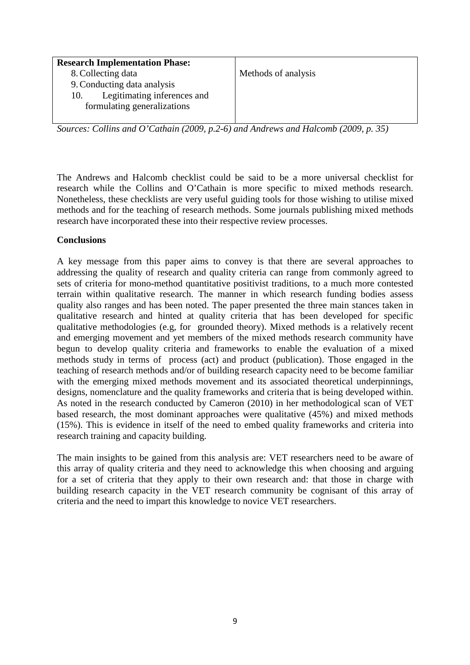| <b>Research Implementation Phase:</b> |                     |
|---------------------------------------|---------------------|
| 8. Collecting data                    | Methods of analysis |
| 9. Conducting data analysis           |                     |
| Legitimating inferences and<br>10.    |                     |
| formulating generalizations           |                     |
|                                       |                     |

*Sources: Collins and O'Cathain (2009, p.2-6) and Andrews and Halcomb (2009, p. 35)* 

The Andrews and Halcomb checklist could be said to be a more universal checklist for research while the Collins and O'Cathain is more specific to mixed methods research. Nonetheless, these checklists are very useful guiding tools for those wishing to utilise mixed methods and for the teaching of research methods. Some journals publishing mixed methods research have incorporated these into their respective review processes.

# **Conclusions**

A key message from this paper aims to convey is that there are several approaches to addressing the quality of research and quality criteria can range from commonly agreed to sets of criteria for mono-method quantitative positivist traditions, to a much more contested terrain within qualitative research. The manner in which research funding bodies assess quality also ranges and has been noted. The paper presented the three main stances taken in qualitative research and hinted at quality criteria that has been developed for specific qualitative methodologies (e.g, for grounded theory). Mixed methods is a relatively recent and emerging movement and yet members of the mixed methods research community have begun to develop quality criteria and frameworks to enable the evaluation of a mixed methods study in terms of process (act) and product (publication). Those engaged in the teaching of research methods and/or of building research capacity need to be become familiar with the emerging mixed methods movement and its associated theoretical underpinnings, designs, nomenclature and the quality frameworks and criteria that is being developed within. As noted in the research conducted by Cameron (2010) in her methodological scan of VET based research, the most dominant approaches were qualitative (45%) and mixed methods (15%). This is evidence in itself of the need to embed quality frameworks and criteria into research training and capacity building.

The main insights to be gained from this analysis are: VET researchers need to be aware of this array of quality criteria and they need to acknowledge this when choosing and arguing for a set of criteria that they apply to their own research and: that those in charge with building research capacity in the VET research community be cognisant of this array of criteria and the need to impart this knowledge to novice VET researchers.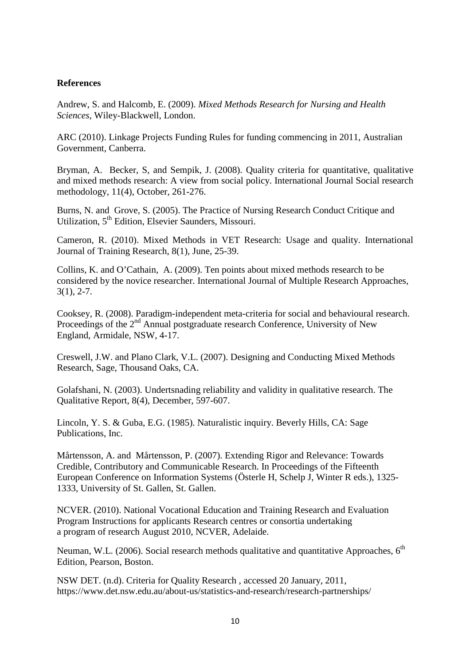#### **References**

Andrew, S. and Halcomb, E. (2009). *Mixed Methods Research for Nursing and Health Sciences*, Wiley-Blackwell, London.

ARC (2010). Linkage Projects Funding Rules for funding commencing in 2011, Australian Government, Canberra.

Bryman, A. Becker, S, and Sempik, J. (2008). Quality criteria for quantitative, qualitative and mixed methods research: A view from social policy. International Journal Social research methodology, 11(4), October, 261-276.

Burns, N. and Grove, S. (2005). The Practice of Nursing Research Conduct Critique and Utilization, 5th Edition, Elsevier Saunders, Missouri.

Cameron, R. (2010). Mixed Methods in VET Research: Usage and quality. International Journal of Training Research, 8(1), June, 25-39.

Collins, K. and O'Cathain, A. (2009). Ten points about mixed methods research to be considered by the novice researcher. International Journal of Multiple Research Approaches, 3(1), 2-7.

Cooksey, R. (2008). Paradigm-independent meta-criteria for social and behavioural research. Proceedings of the  $2<sup>nd</sup>$  Annual postgraduate research Conference, University of New England, Armidale, NSW, 4-17.

Creswell, J.W. and Plano Clark, V.L. (2007). Designing and Conducting Mixed Methods Research, Sage, Thousand Oaks, CA.

Golafshani, N. (2003). Undertsnading reliability and validity in qualitative research. The Qualitative Report, 8(4), December, 597-607.

Lincoln, Y. S. & Guba, E.G. (1985). Naturalistic inquiry. Beverly Hills, CA: Sage Publications, Inc.

Mårtensson, A. and Mårtensson, P. (2007). Extending Rigor and Relevance: Towards Credible, Contributory and Communicable Research. In Proceedings of the Fifteenth European Conference on Information Systems (Österle H, Schelp J, Winter R eds.), 1325- 1333, University of St. Gallen, St. Gallen.

NCVER. (2010). National Vocational Education and Training Research and Evaluation Program Instructions for applicants Research centres or consortia undertaking a program of research August 2010, NCVER, Adelaide.

Neuman, W.L. (2006). Social research methods qualitative and quantitative Approaches,  $6<sup>th</sup>$ Edition, Pearson, Boston.

NSW DET. (n.d). Criteria for Quality Research , accessed 20 January, 2011, https://www.det.nsw.edu.au/about-us/statistics-and-research/research-partnerships/